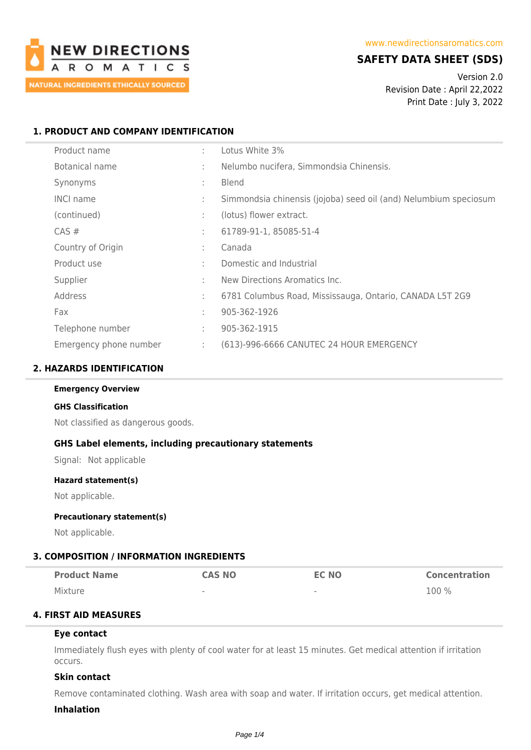

# **SAFETY DATA SHEET (SDS)**

Version 2.0 Revision Date : April 22,2022 Print Date : July 3, 2022

## **1. PRODUCT AND COMPANY IDENTIFICATION**

| Product name           | ÷  | Lotus White 3%                                                   |
|------------------------|----|------------------------------------------------------------------|
| Botanical name         | ÷. | Nelumbo nucifera, Simmondsia Chinensis.                          |
| Synonyms               | ÷  | <b>Blend</b>                                                     |
| <b>INCI name</b>       | ÷  | Simmondsia chinensis (jojoba) seed oil (and) Nelumbium speciosum |
| (continued)            | ÷  | (lotus) flower extract.                                          |
| CAS#                   | ÷  | 61789-91-1, 85085-51-4                                           |
| Country of Origin      | ÷  | Canada                                                           |
| Product use            | ÷  | Domestic and Industrial                                          |
| Supplier               | ÷  | New Directions Aromatics Inc.                                    |
| Address                | ÷  | 6781 Columbus Road, Mississauga, Ontario, CANADA L5T 2G9         |
| Fax                    | ÷  | 905-362-1926                                                     |
| Telephone number       | ÷  | 905-362-1915                                                     |
| Emergency phone number | ÷. | (613)-996-6666 CANUTEC 24 HOUR EMERGENCY                         |

## **2. HAZARDS IDENTIFICATION**

#### **Emergency Overview**

#### **GHS Classification**

Not classified as dangerous goods.

## **GHS Label elements, including precautionary statements**

Signal: Not applicable

#### **Hazard statement(s)**

Not applicable.

#### **Precautionary statement(s)**

Not applicable.

## **3. COMPOSITION / INFORMATION INGREDIENTS**

| <b>Product Name</b> | <b>CAS NO</b>            | <b>EC NO</b>             | <b>Concentration</b> |
|---------------------|--------------------------|--------------------------|----------------------|
| Mixture             | $\overline{\phantom{a}}$ | $\overline{\phantom{a}}$ | 100 %                |

## **4. FIRST AID MEASURES**

## **Eye contact**

Immediately flush eyes with plenty of cool water for at least 15 minutes. Get medical attention if irritation occurs.

## **Skin contact**

Remove contaminated clothing. Wash area with soap and water. If irritation occurs, get medical attention.

#### **Inhalation**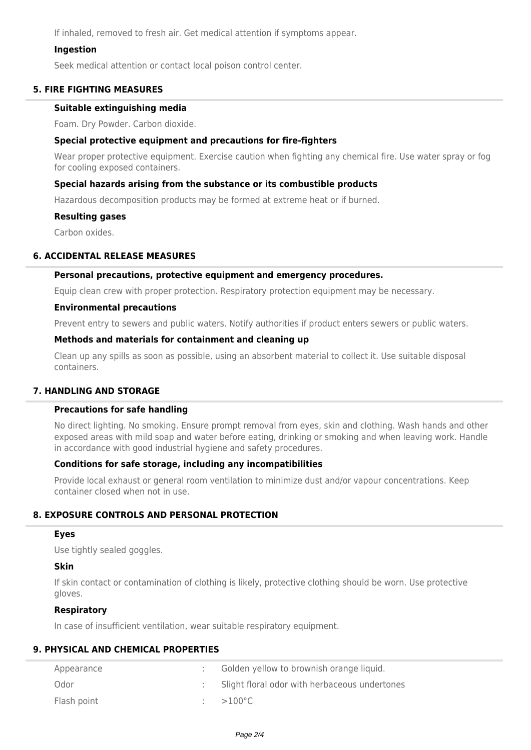If inhaled, removed to fresh air. Get medical attention if symptoms appear.

## **Ingestion**

Seek medical attention or contact local poison control center.

## **5. FIRE FIGHTING MEASURES**

## **Suitable extinguishing media**

Foam. Dry Powder. Carbon dioxide.

## **Special protective equipment and precautions for fire-fighters**

Wear proper protective equipment. Exercise caution when fighting any chemical fire. Use water spray or fog for cooling exposed containers.

## **Special hazards arising from the substance or its combustible products**

Hazardous decomposition products may be formed at extreme heat or if burned.

#### **Resulting gases**

Carbon oxides.

## **6. ACCIDENTAL RELEASE MEASURES**

## **Personal precautions, protective equipment and emergency procedures.**

Equip clean crew with proper protection. Respiratory protection equipment may be necessary.

#### **Environmental precautions**

Prevent entry to sewers and public waters. Notify authorities if product enters sewers or public waters.

## **Methods and materials for containment and cleaning up**

Clean up any spills as soon as possible, using an absorbent material to collect it. Use suitable disposal containers.

## **7. HANDLING AND STORAGE**

## **Precautions for safe handling**

No direct lighting. No smoking. Ensure prompt removal from eyes, skin and clothing. Wash hands and other exposed areas with mild soap and water before eating, drinking or smoking and when leaving work. Handle in accordance with good industrial hygiene and safety procedures.

## **Conditions for safe storage, including any incompatibilities**

Provide local exhaust or general room ventilation to minimize dust and/or vapour concentrations. Keep container closed when not in use.

# **8. EXPOSURE CONTROLS AND PERSONAL PROTECTION**

## **Eyes**

Use tightly sealed goggles.

## **Skin**

If skin contact or contamination of clothing is likely, protective clothing should be worn. Use protective gloves.

## **Respiratory**

In case of insufficient ventilation, wear suitable respiratory equipment.

# **9. PHYSICAL AND CHEMICAL PROPERTIES**

| Appearance  | Golden yellow to brownish orange liquid.      |
|-------------|-----------------------------------------------|
| Odor        | Slight floral odor with herbaceous undertones |
| Flash point | $>100^{\circ}$ C                              |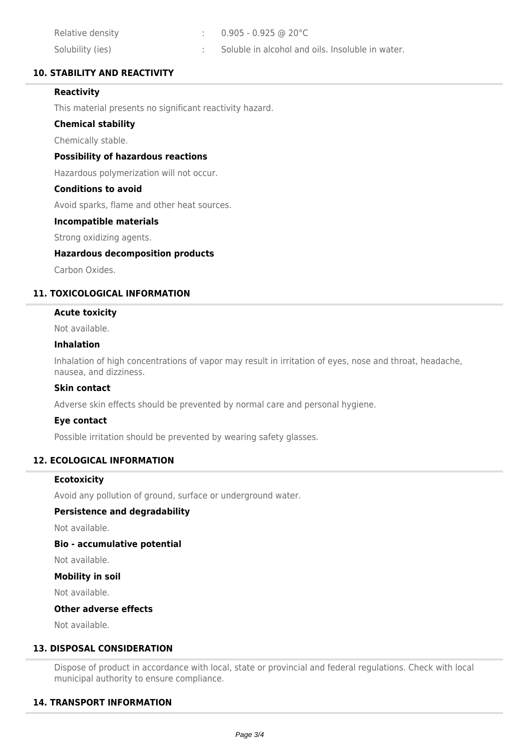| Relative density | $\therefore$ 0.905 - 0.925 @ 20°C                |
|------------------|--------------------------------------------------|
| Solubility (ies) | Soluble in alcohol and oils. Insoluble in water. |

## **10. STABILITY AND REACTIVITY**

## **Reactivity**

This material presents no significant reactivity hazard.

## **Chemical stability**

Chemically stable.

## **Possibility of hazardous reactions**

Hazardous polymerization will not occur.

## **Conditions to avoid**

Avoid sparks, flame and other heat sources.

## **Incompatible materials**

Strong oxidizing agents.

## **Hazardous decomposition products**

Carbon Oxides.

## **11. TOXICOLOGICAL INFORMATION**

#### **Acute toxicity**

Not available.

#### **Inhalation**

Inhalation of high concentrations of vapor may result in irritation of eyes, nose and throat, headache, nausea, and dizziness.

## **Skin contact**

Adverse skin effects should be prevented by normal care and personal hygiene.

## **Eye contact**

Possible irritation should be prevented by wearing safety glasses.

## **12. ECOLOGICAL INFORMATION**

## **Ecotoxicity**

Avoid any pollution of ground, surface or underground water.

## **Persistence and degradability**

Not available.

## **Bio - accumulative potential**

Not available.

## **Mobility in soil**

Not available.

## **Other adverse effects**

Not available.

# **13. DISPOSAL CONSIDERATION**

Dispose of product in accordance with local, state or provincial and federal regulations. Check with local municipal authority to ensure compliance.

## **14. TRANSPORT INFORMATION**